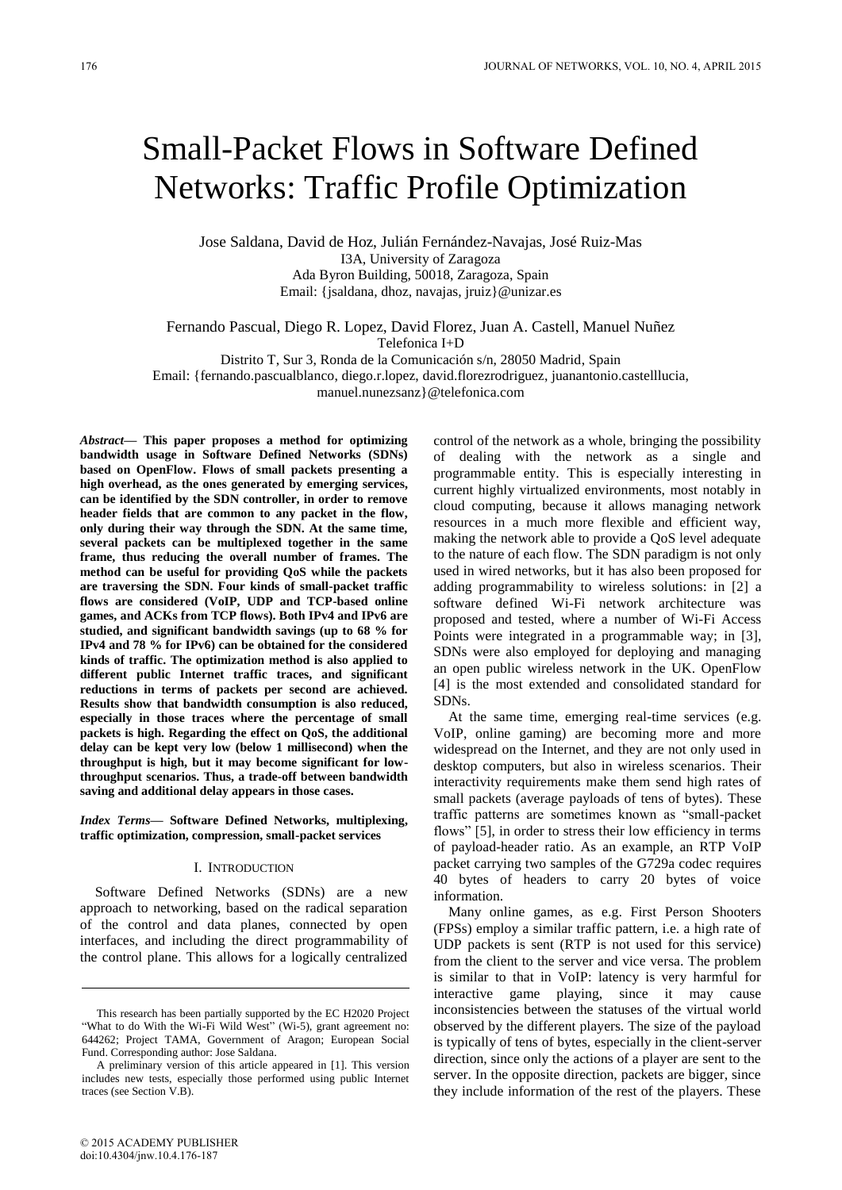# Small-Packet Flows in Software Defined Networks: Traffic Profile Optimization

Jose Saldana, David de Hoz, Julián Fernández-Navajas, José Ruiz-Mas I3A, University of Zaragoza Ada Byron Building, 50018, Zaragoza, Spain Email: {jsaldana, dhoz, navajas, jruiz}@unizar.es

Fernando Pascual, Diego R. Lopez, David Florez, Juan A. Castell, Manuel Nuñez Telefonica I+D

Distrito T, Sur 3, Ronda de la Comunicación s/n, 28050 Madrid, Spain

Email: {fernando.pascualblanco, diego.r.lopez, david.florezrodriguez, juanantonio.castelllucia,

manuel.nunezsanz}@telefonica.com

*Abstract***— This paper proposes a method for optimizing bandwidth usage in Software Defined Networks (SDNs) based on OpenFlow. Flows of small packets presenting a high overhead, as the ones generated by emerging services, can be identified by the SDN controller, in order to remove header fields that are common to any packet in the flow, only during their way through the SDN. At the same time, several packets can be multiplexed together in the same frame, thus reducing the overall number of frames. The method can be useful for providing QoS while the packets are traversing the SDN. Four kinds of small-packet traffic flows are considered (VoIP, UDP and TCP-based online games, and ACKs from TCP flows). Both IPv4 and IPv6 are studied, and significant bandwidth savings (up to 68 % for IPv4 and 78 % for IPv6) can be obtained for the considered kinds of traffic. The optimization method is also applied to different public Internet traffic traces, and significant reductions in terms of packets per second are achieved. Results show that bandwidth consumption is also reduced, especially in those traces where the percentage of small packets is high. Regarding the effect on QoS, the additional delay can be kept very low (below 1 millisecond) when the throughput is high, but it may become significant for lowthroughput scenarios. Thus, a trade-off between bandwidth saving and additional delay appears in those cases.** 

*Index Terms***— Software Defined Networks, multiplexing, traffic optimization, compression, small-packet services** 

#### I. INTRODUCTION

Software Defined Networks (SDNs) are a new approach to networking, based on the radical separation of the control and data planes, connected by open interfaces, and including the direct programmability of the control plane. This allows for a logically centralized control of the network as a whole, bringing the possibility of dealing with the network as a single and programmable entity. This is especially interesting in current highly virtualized environments, most notably in cloud computing, because it allows managing network resources in a much more flexible and efficient way, making the network able to provide a QoS level adequate to the nature of each flow. The SDN paradigm is not only used in wired networks, but it has also been proposed for adding programmability to wireless solutions: in [2] a software defined Wi-Fi network architecture was proposed and tested, where a number of Wi-Fi Access Points were integrated in a programmable way; in [3], SDNs were also employed for deploying and managing an open public wireless network in the UK. OpenFlow [4] is the most extended and consolidated standard for SDNs.

At the same time, emerging real-time services (e.g. VoIP, online gaming) are becoming more and more widespread on the Internet, and they are not only used in desktop computers, but also in wireless scenarios. Their interactivity requirements make them send high rates of small packets (average payloads of tens of bytes). These traffic patterns are sometimes known as "small-packet flows" [5], in order to stress their low efficiency in terms of payload-header ratio. As an example, an RTP VoIP packet carrying two samples of the G729a codec requires 40 bytes of headers to carry 20 bytes of voice information.

Many online games, as e.g. First Person Shooters (FPSs) employ a similar traffic pattern, i.e. a high rate of UDP packets is sent (RTP is not used for this service) from the client to the server and vice versa. The problem is similar to that in VoIP: latency is very harmful for interactive game playing, since it may cause inconsistencies between the statuses of the virtual world observed by the different players. The size of the payload is typically of tens of bytes, especially in the client-server direction, since only the actions of a player are sent to the server. In the opposite direction, packets are bigger, since they include information of the rest of the players. These

This research has been partially supported by the EC H2020 Project "What to do With the Wi-Fi Wild West" (Wi-5), grant agreement no: 644262; Project TAMA, Government of Aragon; European Social Fund. Corresponding author: Jose Saldana.

A preliminary version of this article appeared in [1]. This version includes new tests, especially those performed using public Internet traces (see Section V.B).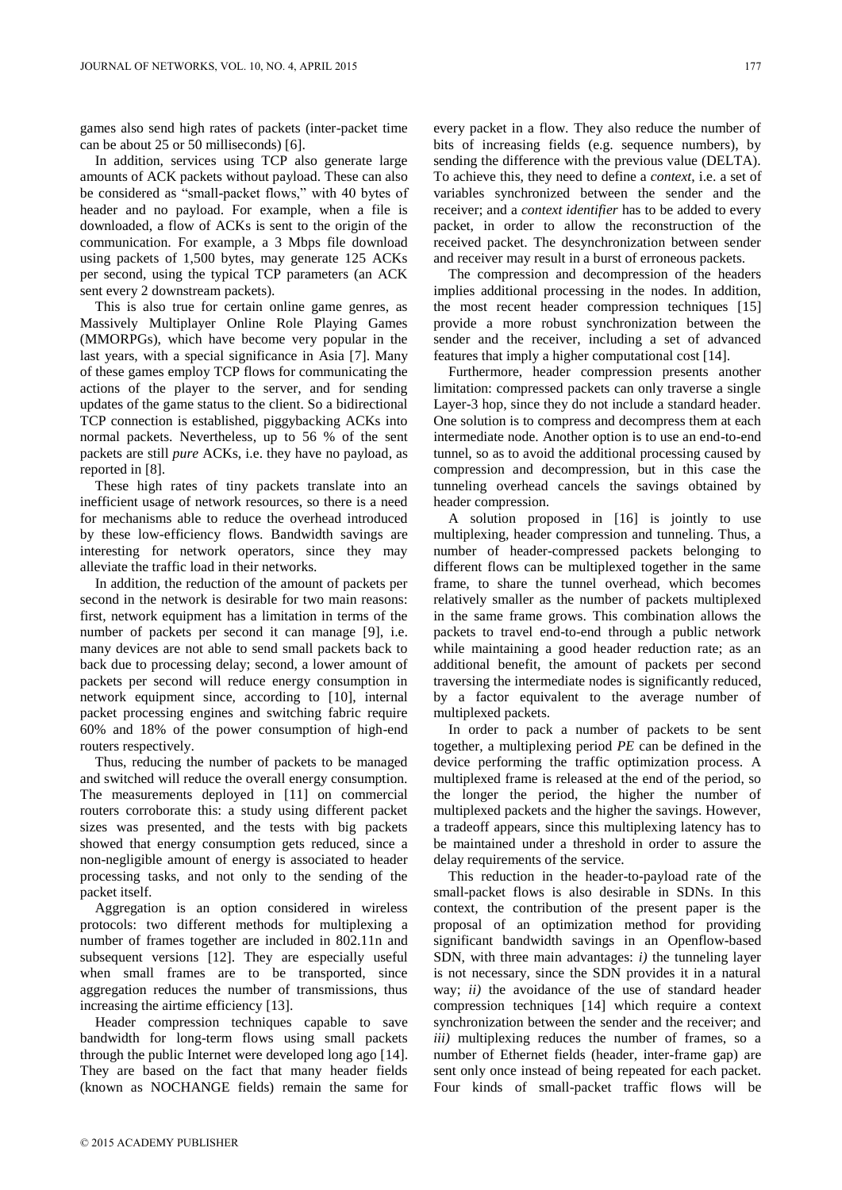games also send high rates of packets (inter-packet time can be about 25 or 50 milliseconds) [6].

In addition, services using TCP also generate large amounts of ACK packets without payload. These can also be considered as "small-packet flows," with 40 bytes of header and no payload. For example, when a file is downloaded, a flow of ACKs is sent to the origin of the communication. For example, a 3 Mbps file download using packets of 1,500 bytes, may generate 125 ACKs per second, using the typical TCP parameters (an ACK sent every 2 downstream packets).

This is also true for certain online game genres, as Massively Multiplayer Online Role Playing Games (MMORPGs), which have become very popular in the last years, with a special significance in Asia [7]. Many of these games employ TCP flows for communicating the actions of the player to the server, and for sending updates of the game status to the client. So a bidirectional TCP connection is established, piggybacking ACKs into normal packets. Nevertheless, up to 56 % of the sent packets are still *pure* ACKs, i.e. they have no payload, as reported in [8].

These high rates of tiny packets translate into an inefficient usage of network resources, so there is a need for mechanisms able to reduce the overhead introduced by these low-efficiency flows. Bandwidth savings are interesting for network operators, since they may alleviate the traffic load in their networks.

In addition, the reduction of the amount of packets per second in the network is desirable for two main reasons: first, network equipment has a limitation in terms of the number of packets per second it can manage [9], i.e. many devices are not able to send small packets back to back due to processing delay; second, a lower amount of packets per second will reduce energy consumption in network equipment since, according to [10], internal packet processing engines and switching fabric require 60% and 18% of the power consumption of high-end routers respectively.

Thus, reducing the number of packets to be managed and switched will reduce the overall energy consumption. The measurements deployed in [11] on commercial routers corroborate this: a study using different packet sizes was presented, and the tests with big packets showed that energy consumption gets reduced, since a non-negligible amount of energy is associated to header processing tasks, and not only to the sending of the packet itself.

Aggregation is an option considered in wireless protocols: two different methods for multiplexing a number of frames together are included in 802.11n and subsequent versions [12]. They are especially useful when small frames are to be transported, since aggregation reduces the number of transmissions, thus increasing the airtime efficiency [13].

Header compression techniques capable to save bandwidth for long-term flows using small packets through the public Internet were developed long ago [14]. They are based on the fact that many header fields (known as NOCHANGE fields) remain the same for

every packet in a flow. They also reduce the number of bits of increasing fields (e.g. sequence numbers), by sending the difference with the previous value (DELTA). To achieve this, they need to define a *context*, i.e. a set of variables synchronized between the sender and the receiver; and a *context identifier* has to be added to every packet, in order to allow the reconstruction of the received packet. The desynchronization between sender and receiver may result in a burst of erroneous packets.

The compression and decompression of the headers implies additional processing in the nodes. In addition, the most recent header compression techniques [15] provide a more robust synchronization between the sender and the receiver, including a set of advanced features that imply a higher computational cost [14].

Furthermore, header compression presents another limitation: compressed packets can only traverse a single Layer-3 hop, since they do not include a standard header. One solution is to compress and decompress them at each intermediate node. Another option is to use an end-to-end tunnel, so as to avoid the additional processing caused by compression and decompression, but in this case the tunneling overhead cancels the savings obtained by header compression.

A solution proposed in [16] is jointly to use multiplexing, header compression and tunneling. Thus, a number of header-compressed packets belonging to different flows can be multiplexed together in the same frame, to share the tunnel overhead, which becomes relatively smaller as the number of packets multiplexed in the same frame grows. This combination allows the packets to travel end-to-end through a public network while maintaining a good header reduction rate; as an additional benefit, the amount of packets per second traversing the intermediate nodes is significantly reduced, by a factor equivalent to the average number of multiplexed packets.

In order to pack a number of packets to be sent together, a multiplexing period *PE* can be defined in the device performing the traffic optimization process. A multiplexed frame is released at the end of the period, so the longer the period, the higher the number of multiplexed packets and the higher the savings. However, a tradeoff appears, since this multiplexing latency has to be maintained under a threshold in order to assure the delay requirements of the service.

This reduction in the header-to-payload rate of the small-packet flows is also desirable in SDNs. In this context, the contribution of the present paper is the proposal of an optimization method for providing significant bandwidth savings in an Openflow-based SDN, with three main advantages: *i)* the tunneling layer is not necessary, since the SDN provides it in a natural way; *ii)* the avoidance of the use of standard header compression techniques [14] which require a context synchronization between the sender and the receiver; and *iii*) multiplexing reduces the number of frames, so a number of Ethernet fields (header, inter-frame gap) are sent only once instead of being repeated for each packet. Four kinds of small-packet traffic flows will be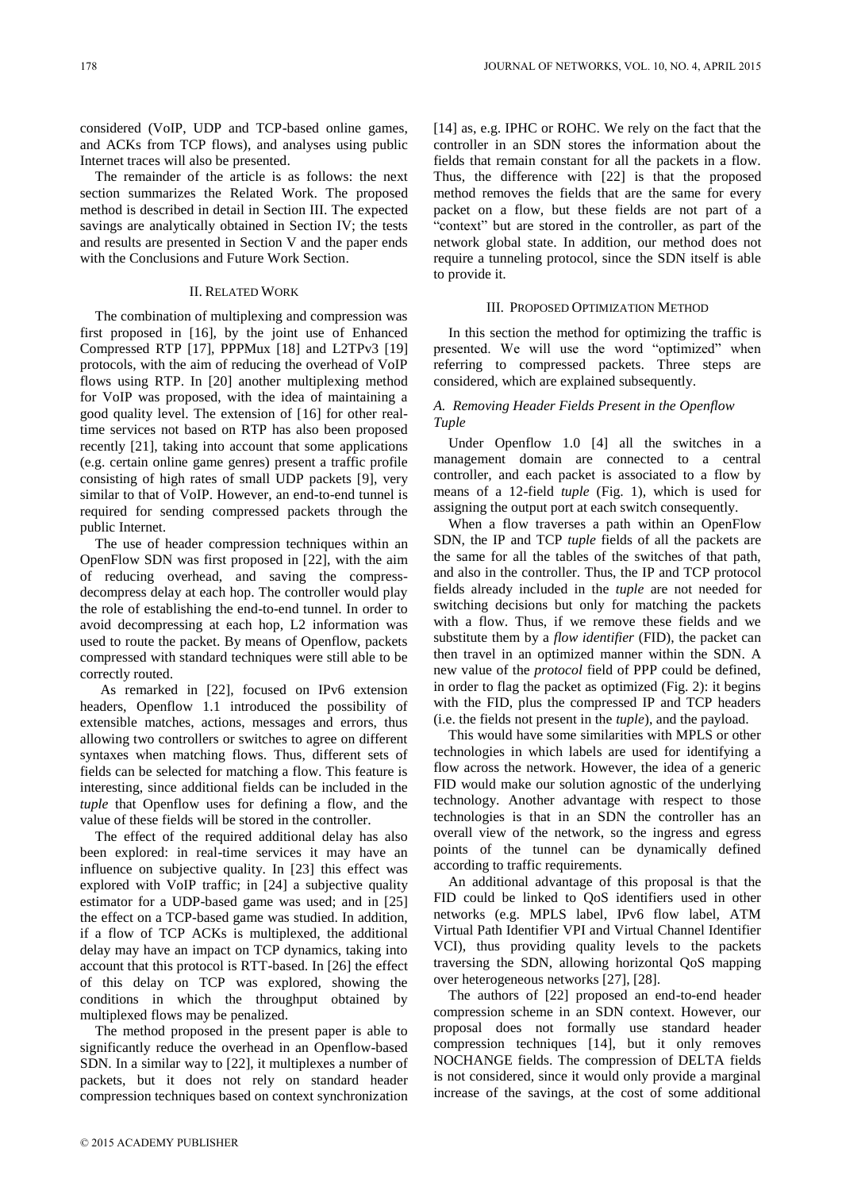considered (VoIP, UDP and TCP-based online games, and ACKs from TCP flows), and analyses using public Internet traces will also be presented.

The remainder of the article is as follows: the next section summarizes the Related Work. The proposed method is described in detail in Section III. The expected savings are analytically obtained in Section IV; the tests and results are presented in Section V and the paper ends with the Conclusions and Future Work Section.

# II. RELATED WORK

The combination of multiplexing and compression was first proposed in [16], by the joint use of Enhanced Compressed RTP [17], PPPMux [18] and L2TPv3 [19] protocols, with the aim of reducing the overhead of VoIP flows using RTP. In [20] another multiplexing method for VoIP was proposed, with the idea of maintaining a good quality level. The extension of [16] for other realtime services not based on RTP has also been proposed recently [21], taking into account that some applications (e.g. certain online game genres) present a traffic profile consisting of high rates of small UDP packets [9], very similar to that of VoIP. However, an end-to-end tunnel is required for sending compressed packets through the public Internet.

The use of header compression techniques within an OpenFlow SDN was first proposed in [22], with the aim of reducing overhead, and saving the compressdecompress delay at each hop. The controller would play the role of establishing the end-to-end tunnel. In order to avoid decompressing at each hop, L2 information was used to route the packet. By means of Openflow, packets compressed with standard techniques were still able to be correctly routed.

As remarked in [22], focused on IPv6 extension headers, Openflow 1.1 introduced the possibility of extensible matches, actions, messages and errors, thus allowing two controllers or switches to agree on different syntaxes when matching flows. Thus, different sets of fields can be selected for matching a flow. This feature is interesting, since additional fields can be included in the *tuple* that Openflow uses for defining a flow, and the value of these fields will be stored in the controller.

The effect of the required additional delay has also been explored: in real-time services it may have an influence on subjective quality. In [23] this effect was explored with VoIP traffic; in [24] a subjective quality estimator for a UDP-based game was used; and in [25] the effect on a TCP-based game was studied. In addition, if a flow of TCP ACKs is multiplexed, the additional delay may have an impact on TCP dynamics, taking into account that this protocol is RTT-based. In [26] the effect of this delay on TCP was explored, showing the conditions in which the throughput obtained by multiplexed flows may be penalized.

The method proposed in the present paper is able to significantly reduce the overhead in an Openflow-based SDN. In a similar way to [22], it multiplexes a number of packets, but it does not rely on standard header compression techniques based on context synchronization

[14] as, e.g. IPHC or ROHC. We rely on the fact that the controller in an SDN stores the information about the fields that remain constant for all the packets in a flow. Thus, the difference with [22] is that the proposed method removes the fields that are the same for every packet on a flow, but these fields are not part of a "context" but are stored in the controller, as part of the network global state. In addition, our method does not require a tunneling protocol, since the SDN itself is able to provide it.

#### III. PROPOSED OPTIMIZATION METHOD

In this section the method for optimizing the traffic is presented. We will use the word "optimized" when referring to compressed packets. Three steps are considered, which are explained subsequently.

# *A. Removing Header Fields Present in the Openflow Tuple*

Under Openflow 1.0 [4] all the switches in a management domain are connected to a central controller, and each packet is associated to a flow by means of a 12-field *tuple* (Fig. 1), which is used for assigning the output port at each switch consequently.

When a flow traverses a path within an OpenFlow SDN, the IP and TCP *tuple* fields of all the packets are the same for all the tables of the switches of that path, and also in the controller. Thus, the IP and TCP protocol fields already included in the *tuple* are not needed for switching decisions but only for matching the packets with a flow. Thus, if we remove these fields and we substitute them by a *flow identifier* (FID), the packet can then travel in an optimized manner within the SDN. A new value of the *protocol* field of PPP could be defined, in order to flag the packet as optimized (Fig. 2): it begins with the FID, plus the compressed IP and TCP headers (i.e. the fields not present in the *tuple*), and the payload.

This would have some similarities with MPLS or other technologies in which labels are used for identifying a flow across the network. However, the idea of a generic FID would make our solution agnostic of the underlying technology. Another advantage with respect to those technologies is that in an SDN the controller has an overall view of the network, so the ingress and egress points of the tunnel can be dynamically defined according to traffic requirements.

An additional advantage of this proposal is that the FID could be linked to QoS identifiers used in other networks (e.g. MPLS label, IPv6 flow label, ATM Virtual Path Identifier VPI and Virtual Channel Identifier VCI), thus providing quality levels to the packets traversing the SDN, allowing horizontal QoS mapping over heterogeneous networks [27], [28].

The authors of [22] proposed an end-to-end header compression scheme in an SDN context. However, our proposal does not formally use standard header compression techniques [14], but it only removes NOCHANGE fields. The compression of DELTA fields is not considered, since it would only provide a marginal increase of the savings, at the cost of some additional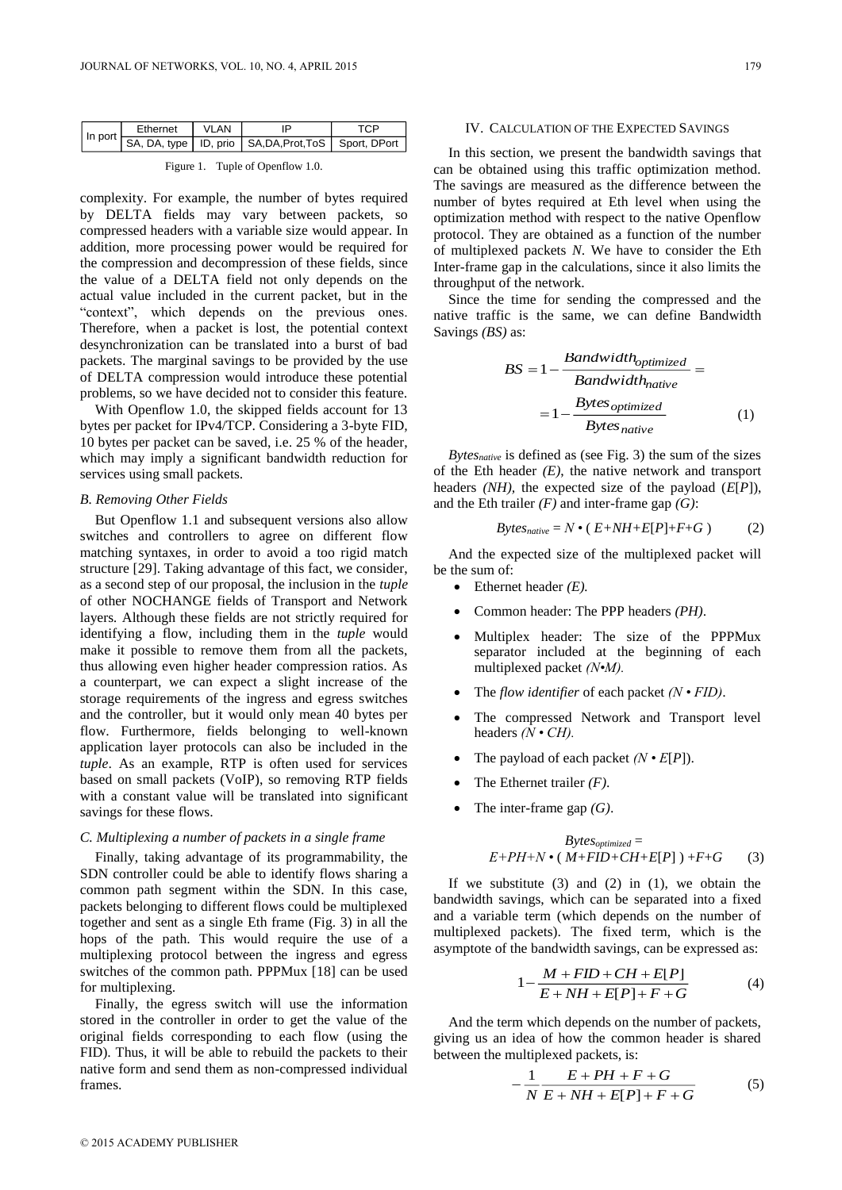| In port | Fthernet | VI AN |                                                            |  |
|---------|----------|-------|------------------------------------------------------------|--|
|         |          |       | SA, DA, type   ID, prio   SA, DA, Prot, ToS   Sport, DPort |  |

Figure 1. Tuple of Openflow 1.0.

complexity. For example, the number of bytes required by DELTA fields may vary between packets, so compressed headers with a variable size would appear. In addition, more processing power would be required for the compression and decompression of these fields, since the value of a DELTA field not only depends on the actual value included in the current packet, but in the "context", which depends on the previous ones. Therefore, when a packet is lost, the potential context desynchronization can be translated into a burst of bad packets. The marginal savings to be provided by the use of DELTA compression would introduce these potential problems, so we have decided not to consider this feature.

With Openflow 1.0, the skipped fields account for 13 bytes per packet for IPv4/TCP. Considering a 3-byte FID*,*  10 bytes per packet can be saved, i.e. 25 % of the header, which may imply a significant bandwidth reduction for services using small packets.

# *B. Removing Other Fields*

But Openflow 1.1 and subsequent versions also allow switches and controllers to agree on different flow matching syntaxes, in order to avoid a too rigid match structure [29]. Taking advantage of this fact, we consider, as a second step of our proposal, the inclusion in the *tuple* of other NOCHANGE fields of Transport and Network layers*.* Although these fields are not strictly required for identifying a flow, including them in the *tuple* would make it possible to remove them from all the packets, thus allowing even higher header compression ratios. As a counterpart, we can expect a slight increase of the storage requirements of the ingress and egress switches and the controller, but it would only mean 40 bytes per flow. Furthermore, fields belonging to well-known application layer protocols can also be included in the *tuple*. As an example, RTP is often used for services based on small packets (VoIP), so removing RTP fields with a constant value will be translated into significant savings for these flows.

## *C. Multiplexing a number of packets in a single frame*

Finally, taking advantage of its programmability, the SDN controller could be able to identify flows sharing a common path segment within the SDN. In this case, packets belonging to different flows could be multiplexed together and sent as a single Eth frame (Fig. 3) in all the hops of the path. This would require the use of a multiplexing protocol between the ingress and egress switches of the common path. PPPMux [18] can be used for multiplexing.

Finally, the egress switch will use the information stored in the controller in order to get the value of the original fields corresponding to each flow (using the FID). Thus, it will be able to rebuild the packets to their native form and send them as non-compressed individual frames.

#### IV. CALCULATION OF THE EXPECTED SAVINGS

In this section, we present the bandwidth savings that can be obtained using this traffic optimization method. The savings are measured as the difference between the number of bytes required at Eth level when using the optimization method with respect to the native Openflow protocol. They are obtained as a function of the number of multiplexed packets *N*. We have to consider the Eth Inter-frame gap in the calculations, since it also limits the throughput of the network.

Since the time for sending the compressed and the native traffic is the same, we can define Bandwidth Savings *(BS)* as:

$$
BS = 1 - \frac{Bandwidth_{optimized}}{Bandwidth_{native}} =
$$

$$
= 1 - \frac{Bytes_{optimized}}{Bytes_{native}} \tag{1}
$$

*Bytesnative* is defined as (see Fig. 3) the sum of the sizes of the Eth header *(E)*, the native network and transport headers *(NH),* the expected size of the payload (*E*[*P*]), and the Eth trailer *(F)* and inter-frame gap *(G)*:

$$
Bytes_{native} = N \cdot (E + NH + E[P] + F + G)
$$
 (2)

And the expected size of the multiplexed packet will be the sum of:

- $\bullet$  Ethernet header *(E)*.
- Common header: The PPP headers *(PH)*.
- Multiplex header: The size of the PPPMux separator included at the beginning of each multiplexed packet *(N•M).*
- The *flow identifier* of each packet *(N FID)*.
- The compressed Network and Transport level headers *(N • CH).*
- The payload of each packet *(N E*[*P*]).
- The Ethernet trailer *(F)*.
- The inter-frame gap *(G)*.

$$
Bytes_{optimized} =
$$
  
E+PH+N • ( M+FID+CH+E[P] ) +F+G (3)

If we substitute  $(3)$  and  $(2)$  in  $(1)$ , we obtain the bandwidth savings, which can be separated into a fixed and a variable term (which depends on the number of multiplexed packets). The fixed term, which is the asymptote of the bandwidth savings, can be expressed as:

$$
1 - \frac{M + FID + CH + E[P]}{E + NH + E[P] + F + G}
$$
 (4)

And the term which depends on the number of packets, giving us an idea of how the common header is shared between the multiplexed packets, is:

$$
-\frac{1}{N}\frac{E+PH+F+G}{E+NH+E[P]+F+G}
$$
(5)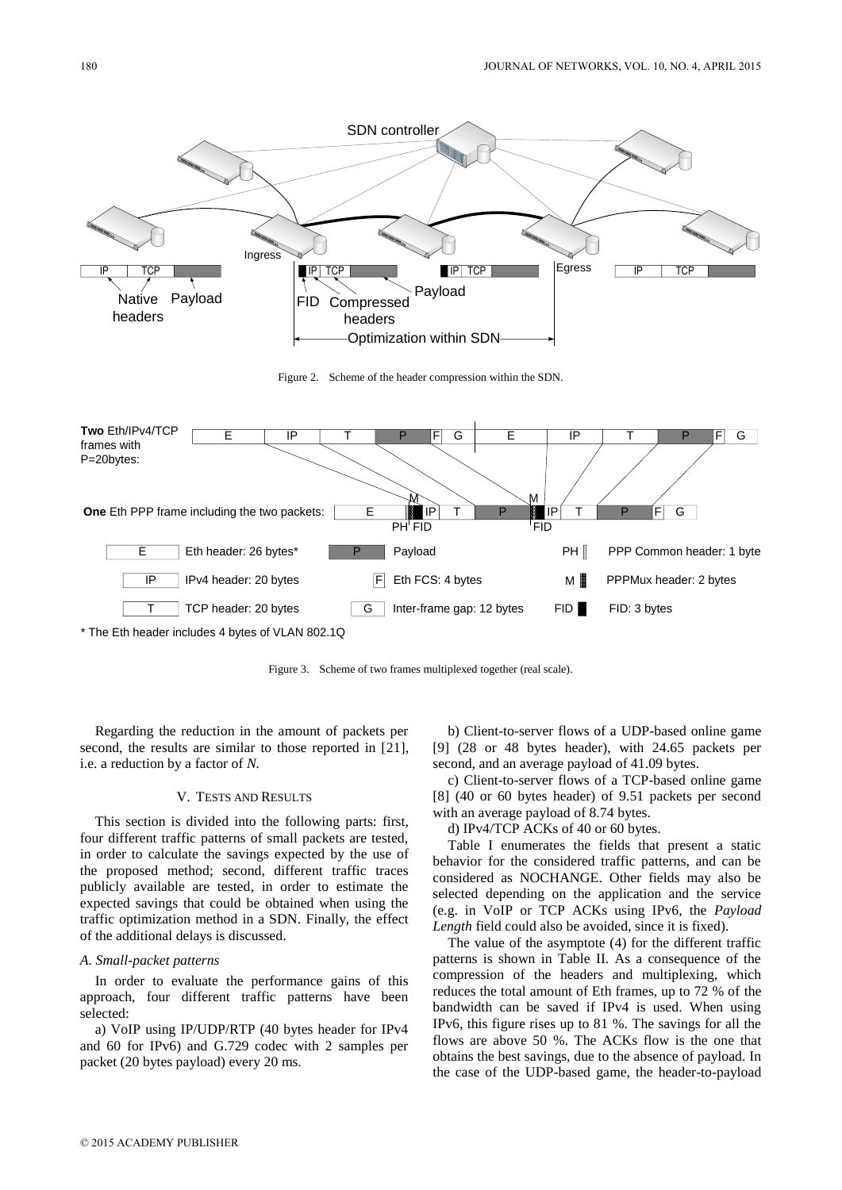

\* The Eth header includes 4 bytes of VLAN 802.1Q

Figure 3. Scheme of two frames multiplexed together (real scale).

Regarding the reduction in the amount of packets per second, the results are similar to those reported in [21], i.e. a reduction by a factor of *N.*

# V. TESTS AND RESULTS

This section is divided into the following parts: first, four different traffic patterns of small packets are tested, in order to calculate the savings expected by the use of the proposed method; second, different traffic traces publicly available are tested, in order to estimate the expected savings that could be obtained when using the traffic optimization method in a SDN. Finally, the effect of the additional delays is discussed.

## *A. Small-packet patterns*

In order to evaluate the performance gains of this approach, four different traffic patterns have been selected:

a) VoIP using IP/UDP/RTP (40 bytes header for IPv4 and 60 for IPv6) and G.729 codec with 2 samples per packet (20 bytes payload) every 20 ms.

b) Client-to-server flows of a UDP-based online game [9] (28 or 48 bytes header), with 24.65 packets per second, and an average payload of 41.09 bytes.

c) Client-to-server flows of a TCP-based online game [8] (40 or 60 bytes header) of 9.51 packets per second with an average payload of 8.74 bytes.

d) IPv4/TCP ACKs of 40 or 60 bytes.

Table I enumerates the fields that present a static behavior for the considered traffic patterns, and can be considered as NOCHANGE. Other fields may also be selected depending on the application and the service (e.g. in VoIP or TCP ACKs using IPv6, the *Payload Length* field could also be avoided, since it is fixed).

The value of the asymptote (4) for the different traffic patterns is shown in Table II. As a consequence of the compression of the headers and multiplexing, which reduces the total amount of Eth frames, up to 72 % of the bandwidth can be saved if IPv4 is used. When using IPv6, this figure rises up to 81 %. The savings for all the flows are above 50 %. The ACKs flow is the one that obtains the best savings, due to the absence of payload. In the case of the UDP-based game, the header-to-payload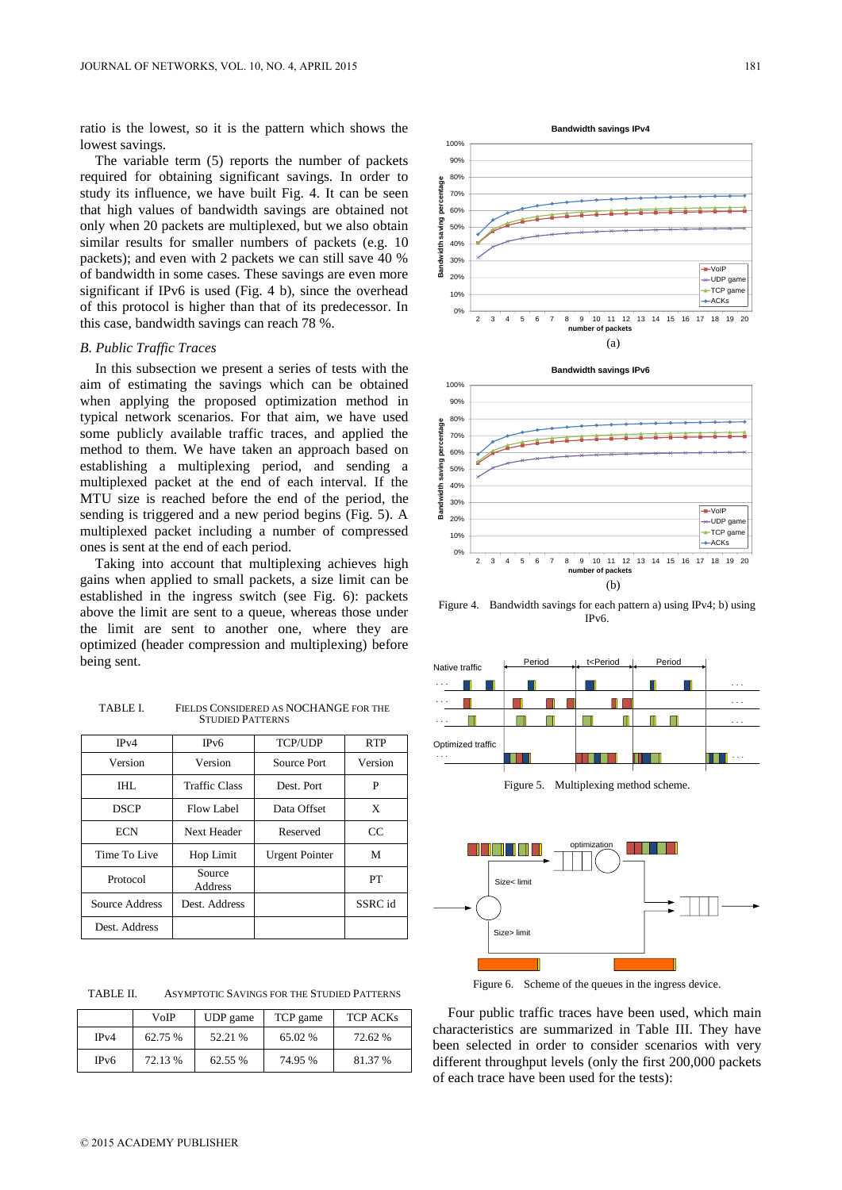ratio is the lowest, so it is the pattern which shows the lowest savings.

The variable term (5) reports the number of packets required for obtaining significant savings. In order to study its influence, we have built Fig. 4. It can be seen that high values of bandwidth savings are obtained not only when 20 packets are multiplexed, but we also obtain similar results for smaller numbers of packets (e.g. 10 packets); and even with 2 packets we can still save 40 % of bandwidth in some cases. These savings are even more significant if IPv6 is used (Fig. 4 b), since the overhead of this protocol is higher than that of its predecessor. In this case, bandwidth savings can reach 78 %.

# *B. Public Traffic Traces*

In this subsection we present a series of tests with the aim of estimating the savings which can be obtained when applying the proposed optimization method in typical network scenarios. For that aim, we have used some publicly available traffic traces, and applied the method to them. We have taken an approach based on establishing a multiplexing period, and sending a multiplexed packet at the end of each interval. If the MTU size is reached before the end of the period, the sending is triggered and a new period begins (Fig. 5). A multiplexed packet including a number of compressed ones is sent at the end of each period.

Taking into account that multiplexing achieves high gains when applied to small packets, a size limit can be established in the ingress switch (see Fig. 6): packets above the limit are sent to a queue, whereas those under the limit are sent to another one, where they are optimized (header compression and multiplexing) before being sent.

TABLE I. FIELDS CONSIDERED AS NOCHANGE FOR THE STUDIED PATTERNS

| IPv4           | IPv6                     | <b>TCP/UDP</b>        | <b>RTP</b>  |
|----------------|--------------------------|-----------------------|-------------|
| Version        | Version                  | Source Port           | Version     |
| THT.           | <b>Traffic Class</b>     | Dest. Port.           | P           |
| <b>DSCP</b>    | Flow Label               | Data Offset           | X           |
| <b>ECN</b>     | Next Header              | Reserved              | $_{\rm CC}$ |
| Time To Live   | Hop Limit                | <b>Urgent Pointer</b> | M           |
| Protocol       | Source<br><b>Address</b> |                       | PT          |
| Source Address | Dest. Address            |                       | SSRC id     |
| Dest. Address  |                          |                       |             |

TABLE II. ASYMPTOTIC SAVINGS FOR THE STUDIED PATTERNS

|                   | VoIP    | UDP game | TCP game | <b>TCP ACKs</b> |
|-------------------|---------|----------|----------|-----------------|
| IPv4              | 62.75 % | 52.21 %  | 65.02 %  | 72.62 %         |
| IP <sub>v</sub> 6 | 72.13 % | 62.55 %  | 74.95%   | 81.37 %         |





Figure 4. Bandwidth savings for each pattern a) using IPv4; b) using IPv6.



Figure 5. Multiplexing method scheme.



Figure 6. Scheme of the queues in the ingress device.

Four public traffic traces have been used, which main characteristics are summarized in Table III. They have been selected in order to consider scenarios with very different throughput levels (only the first 200,000 packets of each trace have been used for the tests):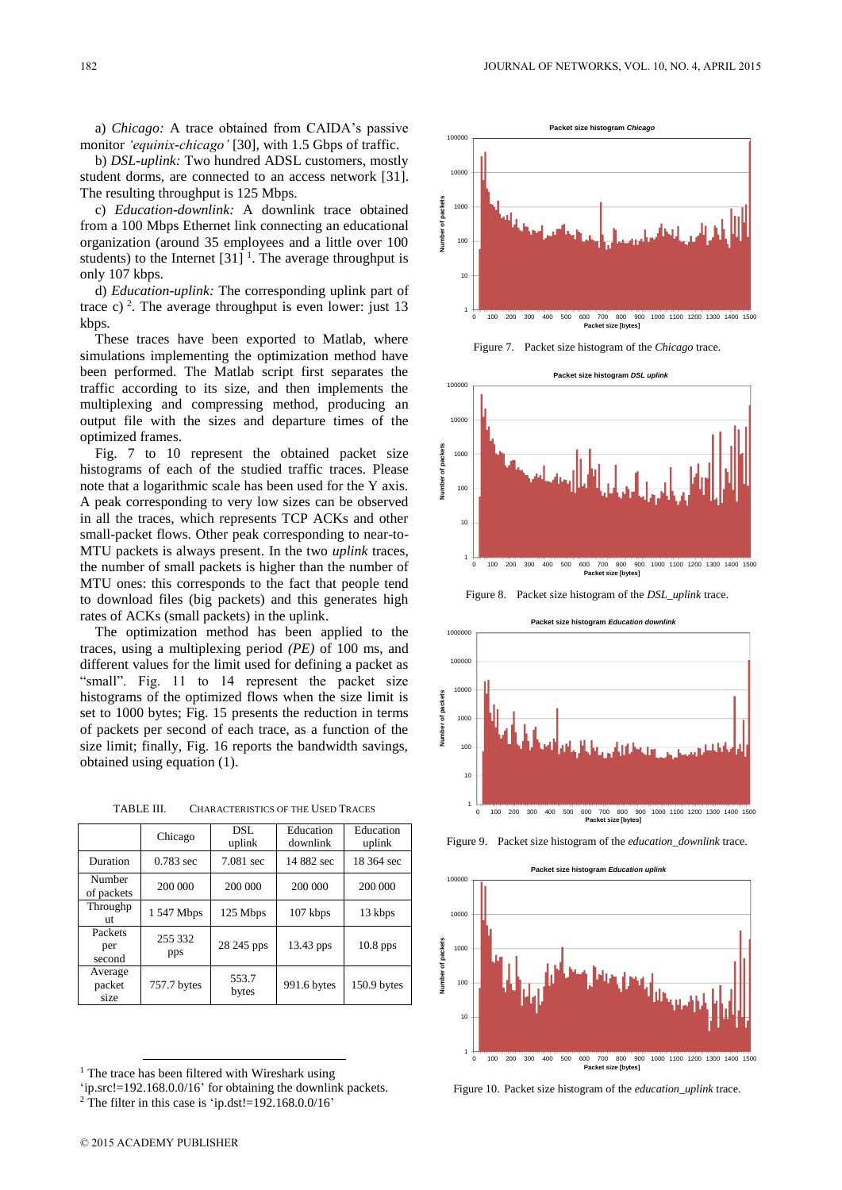a) *Chicago:* A trace obtained from CAIDA's passive monitor *'equinix-chicago'* [30], with 1.5 Gbps of traffic.

b) *DSL-uplink:* Two hundred ADSL customers, mostly student dorms, are connected to an access network [31]. The resulting throughput is 125 Mbps.

c) *Education-downlink:* A downlink trace obtained from a 100 Mbps Ethernet link connecting an educational organization (around 35 employees and a little over 100 students) to the Internet  $[31]$ <sup>1</sup>. The average throughput is only 107 kbps.

d) *Education-uplink:* The corresponding uplink part of trace c)<sup>2</sup>. The average throughput is even lower: just 13 kbps.

These traces have been exported to Matlab, where simulations implementing the optimization method have been performed. The Matlab script first separates the traffic according to its size, and then implements the multiplexing and compressing method, producing an output file with the sizes and departure times of the optimized frames.

Fig. 7 to 10 represent the obtained packet size histograms of each of the studied traffic traces. Please note that a logarithmic scale has been used for the Y axis. A peak corresponding to very low sizes can be observed in all the traces, which represents TCP ACKs and other small-packet flows. Other peak corresponding to near-to-MTU packets is always present. In the two *uplink* traces, the number of small packets is higher than the number of MTU ones: this corresponds to the fact that people tend to download files (big packets) and this generates high rates of ACKs (small packets) in the uplink.

The optimization method has been applied to the traces, using a multiplexing period *(PE)* of 100 ms, and different values for the limit used for defining a packet as "small". Fig. 11 to 14 represent the packet size histograms of the optimized flows when the size limit is set to 1000 bytes; Fig. 15 presents the reduction in terms of packets per second of each trace, as a function of the size limit; finally, Fig. 16 reports the bandwidth savings, obtained using equation (1).

TABLE III. CHARACTERISTICS OF THE USED TRACES

|                           | Chicago        | DSL<br>uplink  | Education<br>downlink | Education<br>uplink |
|---------------------------|----------------|----------------|-----------------------|---------------------|
| Duration                  | $0.783$ sec    | 7.081 sec      | 14 882 sec            | 18 364 sec          |
| Number<br>of packets      | 200 000        | 200 000        | 200 000               | 200 000             |
| Throughp<br>ut            | 1 547 Mbps     | 125 Mbps       | 107 kbps              | 13 kbps             |
| Packets<br>per<br>second  | 255 332<br>pps | 28 245 pps     | 13.43 pps             | $10.8$ pps          |
| Average<br>packet<br>size | 757.7 bytes    | 553.7<br>bytes | 991.6 bytes           | 150.9 bytes         |



Figure 7. Packet size histogram of the *Chicago* trace.



Figure 8. Packet size histogram of the *DSL\_uplink* trace.





Figure 9. Packet size histogram of the *education\_downlink* trace.



Figure 10. Packet size histogram of the *education\_uplink* trace.

-

<sup>&</sup>lt;sup>1</sup> The trace has been filtered with Wireshark using

<sup>&#</sup>x27;ip.src!=192.168.0.0/16' for obtaining the downlink packets.

<sup>&</sup>lt;sup>2</sup> The filter in this case is 'ip.dst!=192.168.0.0/16'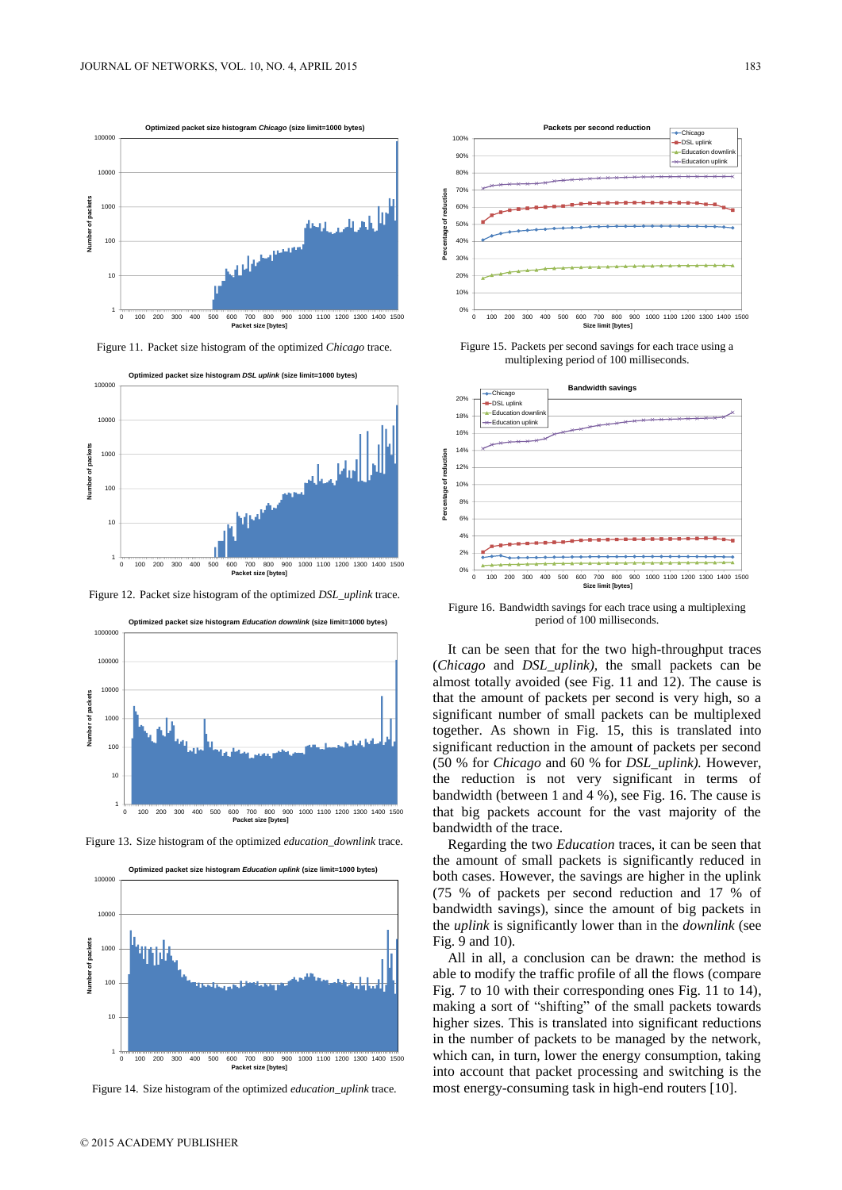

Figure 11. Packet size histogram of the optimized *Chicago* trace.



Figure 12. Packet size histogram of the optimized *DSL\_uplink* trace.



Figure 13. Size histogram of the optimized *education\_downlink* trace.



Figure 14. Size histogram of the optimized *education\_uplink* trace.



Figure 15. Packets per second savings for each trace using a multiplexing period of 100 milliseconds.



Figure 16. Bandwidth savings for each trace using a multiplexing period of 100 milliseconds.

It can be seen that for the two high-throughput traces (*Chicago* and *DSL\_uplink),* the small packets can be almost totally avoided (see Fig. 11 and 12). The cause is that the amount of packets per second is very high, so a significant number of small packets can be multiplexed together. As shown in Fig. 15, this is translated into significant reduction in the amount of packets per second (50 % for *Chicago* and 60 % for *DSL\_uplink).* However, the reduction is not very significant in terms of bandwidth (between 1 and 4 %), see Fig. 16. The cause is that big packets account for the vast majority of the bandwidth of the trace.

Regarding the two *Education* traces, it can be seen that the amount of small packets is significantly reduced in both cases. However, the savings are higher in the uplink (75 % of packets per second reduction and 17 % of bandwidth savings), since the amount of big packets in the *uplink* is significantly lower than in the *downlink* (see Fig. 9 and 10)*.*

All in all, a conclusion can be drawn: the method is able to modify the traffic profile of all the flows (compare Fig. 7 to 10 with their corresponding ones Fig. 11 to 14), making a sort of "shifting" of the small packets towards higher sizes. This is translated into significant reductions in the number of packets to be managed by the network, which can, in turn, lower the energy consumption, taking into account that packet processing and switching is the most energy-consuming task in high-end routers [10].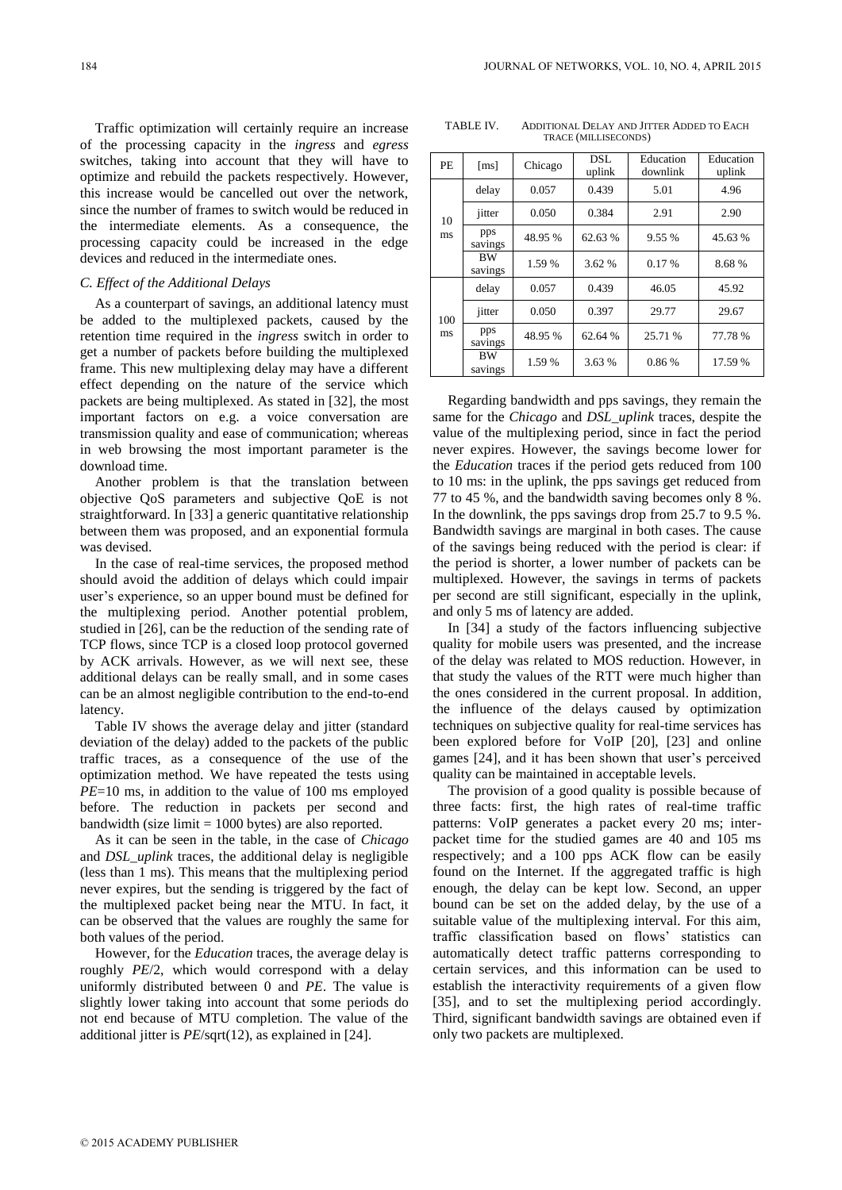Traffic optimization will certainly require an increase of the processing capacity in the *ingress* and *egress*  switches, taking into account that they will have to optimize and rebuild the packets respectively. However, this increase would be cancelled out over the network, since the number of frames to switch would be reduced in the intermediate elements. As a consequence, the processing capacity could be increased in the edge devices and reduced in the intermediate ones.

### *C. Effect of the Additional Delays*

As a counterpart of savings, an additional latency must be added to the multiplexed packets, caused by the retention time required in the *ingress* switch in order to get a number of packets before building the multiplexed frame. This new multiplexing delay may have a different effect depending on the nature of the service which packets are being multiplexed. As stated in [32], the most important factors on e.g. a voice conversation are transmission quality and ease of communication; whereas in web browsing the most important parameter is the download time.

Another problem is that the translation between objective QoS parameters and subjective QoE is not straightforward. In [33] a generic quantitative relationship between them was proposed, and an exponential formula was devised.

In the case of real-time services, the proposed method should avoid the addition of delays which could impair user's experience, so an upper bound must be defined for the multiplexing period. Another potential problem, studied in [26], can be the reduction of the sending rate of TCP flows, since TCP is a closed loop protocol governed by ACK arrivals. However, as we will next see, these additional delays can be really small, and in some cases can be an almost negligible contribution to the end-to-end latency.

Table IV shows the average delay and jitter (standard deviation of the delay) added to the packets of the public traffic traces, as a consequence of the use of the optimization method. We have repeated the tests using *PE*=10 ms, in addition to the value of 100 ms employed before. The reduction in packets per second and bandwidth (size limit  $= 1000$  bytes) are also reported.

As it can be seen in the table, in the case of *Chicago*  and *DSL\_uplink* traces, the additional delay is negligible (less than 1 ms). This means that the multiplexing period never expires, but the sending is triggered by the fact of the multiplexed packet being near the MTU. In fact, it can be observed that the values are roughly the same for both values of the period.

However, for the *Education* traces, the average delay is roughly *PE*/2, which would correspond with a delay uniformly distributed between 0 and *PE*. The value is slightly lower taking into account that some periods do not end because of MTU completion. The value of the additional jitter is *PE*/sqrt(12), as explained in [24].

TABLE IV. ADDITIONAL DELAY AND JITTER ADDED TO EACH TRACE (MILLISECONDS)

| <b>PE</b> | $\lceil ms \rceil$   | Chicago | DSL.<br>uplink | Education<br>downlink | Education<br>uplink |
|-----------|----------------------|---------|----------------|-----------------------|---------------------|
| 10<br>ms  | delay                | 0.057   | 0.439          | 5.01                  | 4.96                |
|           | jitter               | 0.050   | 0.384          | 2.91                  | 2.90                |
|           | pps<br>savings       | 48.95 % | 62.63 %        | 9.55 %                | 45.63 %             |
|           | <b>BW</b><br>savings | 1.59 %  | 3.62 %         | 0.17%                 | 8.68%               |
| 100<br>ms | delay                | 0.057   | 0.439          | 46.05                 | 45.92               |
|           | jitter               | 0.050   | 0.397          | 29.77                 | 29.67               |
|           | pps<br>savings       | 48.95 % | 62.64 %        | 25.71 %               | 77.78 %             |
|           | <b>BW</b><br>savings | 1.59 %  | 3.63 %         | 0.86%                 | 17.59 %             |

Regarding bandwidth and pps savings, they remain the same for the *Chicago* and *DSL\_uplink* traces, despite the value of the multiplexing period, since in fact the period never expires. However, the savings become lower for the *Education* traces if the period gets reduced from 100 to 10 ms: in the uplink, the pps savings get reduced from 77 to 45 %, and the bandwidth saving becomes only 8 %. In the downlink, the pps savings drop from 25.7 to 9.5 %. Bandwidth savings are marginal in both cases. The cause of the savings being reduced with the period is clear: if the period is shorter, a lower number of packets can be multiplexed. However, the savings in terms of packets per second are still significant, especially in the uplink, and only 5 ms of latency are added.

In [34] a study of the factors influencing subjective quality for mobile users was presented, and the increase of the delay was related to MOS reduction. However, in that study the values of the RTT were much higher than the ones considered in the current proposal. In addition, the influence of the delays caused by optimization techniques on subjective quality for real-time services has been explored before for VoIP [20], [23] and online games [24], and it has been shown that user's perceived quality can be maintained in acceptable levels.

The provision of a good quality is possible because of three facts: first, the high rates of real-time traffic patterns: VoIP generates a packet every 20 ms; interpacket time for the studied games are 40 and 105 ms respectively; and a 100 pps ACK flow can be easily found on the Internet. If the aggregated traffic is high enough, the delay can be kept low. Second, an upper bound can be set on the added delay, by the use of a suitable value of the multiplexing interval. For this aim, traffic classification based on flows' statistics can automatically detect traffic patterns corresponding to certain services, and this information can be used to establish the interactivity requirements of a given flow [35], and to set the multiplexing period accordingly. Third, significant bandwidth savings are obtained even if only two packets are multiplexed.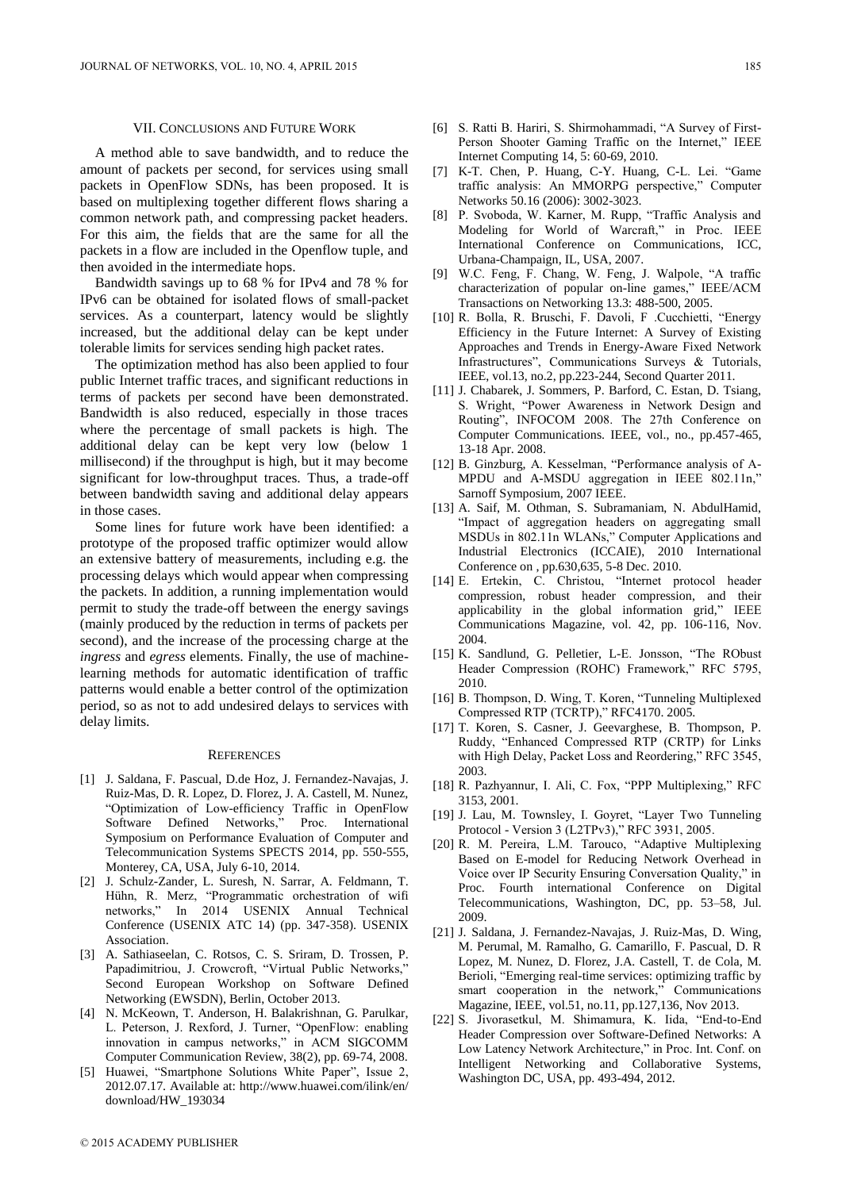# VII. CONCLUSIONS AND FUTURE WORK

A method able to save bandwidth, and to reduce the amount of packets per second, for services using small packets in OpenFlow SDNs, has been proposed. It is based on multiplexing together different flows sharing a common network path, and compressing packet headers. For this aim, the fields that are the same for all the packets in a flow are included in the Openflow tuple, and then avoided in the intermediate hops.

Bandwidth savings up to 68 % for IPv4 and 78 % for IPv6 can be obtained for isolated flows of small-packet services. As a counterpart, latency would be slightly increased, but the additional delay can be kept under tolerable limits for services sending high packet rates.

The optimization method has also been applied to four public Internet traffic traces, and significant reductions in terms of packets per second have been demonstrated. Bandwidth is also reduced, especially in those traces where the percentage of small packets is high. The additional delay can be kept very low (below 1 millisecond) if the throughput is high, but it may become significant for low-throughput traces. Thus, a trade-off between bandwidth saving and additional delay appears in those cases.

Some lines for future work have been identified: a prototype of the proposed traffic optimizer would allow an extensive battery of measurements, including e.g. the processing delays which would appear when compressing the packets. In addition, a running implementation would permit to study the trade-off between the energy savings (mainly produced by the reduction in terms of packets per second), and the increase of the processing charge at the *ingress* and *egress* elements. Finally, the use of machinelearning methods for automatic identification of traffic patterns would enable a better control of the optimization period, so as not to add undesired delays to services with delay limits.

#### **REFERENCES**

- [1] J. Saldana, F. Pascual, D.de Hoz, J. Fernandez-Navajas, J. Ruiz-Mas, D. R. Lopez, D. Florez, J. A. Castell, M. Nunez, "Optimization of Low-efficiency Traffic in OpenFlow Software Defined Networks," Proc. International Symposium on Performance Evaluation of Computer and Telecommunication Systems SPECTS 2014, pp. 550-555, Monterey, CA, USA, July 6-10, 2014.
- [2] J. Schulz-Zander, L. Suresh, N. Sarrar, A. Feldmann, T. Hühn, R. Merz, "Programmatic orchestration of wifi networks," In 2014 USENIX Annual Technical Conference (USENIX ATC 14) (pp. 347-358). USENIX Association.
- [3] A. Sathiaseelan, C. Rotsos, C. S. Sriram, D. Trossen, P. Papadimitriou, J. Crowcroft, "Virtual Public Networks," Second European Workshop on Software Defined Networking (EWSDN), Berlin, October 2013.
- [4] N. McKeown, T. Anderson, H. Balakrishnan, G. Parulkar, L. Peterson, J. Rexford, J. Turner, "OpenFlow: enabling innovation in campus networks," in ACM SIGCOMM Computer Communication Review, 38(2), pp. 69-74, 2008.
- [5] Huawei, "Smartphone Solutions White Paper", Issue 2, 2012.07.17. Available at: http://www.huawei.com/ilink/en/ download/HW\_193034
- [6] S. Ratti B. Hariri, S. Shirmohammadi, "A Survey of First-Person Shooter Gaming Traffic on the Internet," IEEE Internet Computing 14, 5: 60-69, 2010.
- [7] K-T. Chen, P. Huang, C-Y. Huang, C-L. Lei. "Game traffic analysis: An MMORPG perspective," Computer Networks 50.16 (2006): 3002-3023.
- [8] P. Svoboda, W. Karner, M. Rupp, "Traffic Analysis and Modeling for World of Warcraft," in Proc. IEEE International Conference on Communications, ICC, Urbana-Champaign, IL, USA, 2007.
- [9] W.C. Feng, F. Chang, W. Feng, J. Walpole, "A traffic characterization of popular on-line games," IEEE/ACM Transactions on Networking 13.3: 488-500, 2005.
- [10] R. Bolla, R. Bruschi, F. Davoli, F .Cucchietti, "Energy Efficiency in the Future Internet: A Survey of Existing Approaches and Trends in Energy-Aware Fixed Network Infrastructures", Communications Surveys & Tutorials, IEEE, vol.13, no.2, pp.223-244, Second Quarter 2011.
- [11] J. Chabarek, J. Sommers, P. Barford, C. Estan, D. Tsiang, S. Wright, "Power Awareness in Network Design and Routing", INFOCOM 2008. The 27th Conference on Computer Communications. IEEE, vol., no., pp.457-465, 13-18 Apr. 2008.
- [12] B. Ginzburg, A. Kesselman, "Performance analysis of A-MPDU and A-MSDU aggregation in IEEE 802.11n," Sarnoff Symposium, 2007 IEEE.
- [13] A. Saif, M. Othman, S. Subramaniam, N. AbdulHamid, "Impact of aggregation headers on aggregating small MSDUs in 802.11n WLANs," Computer Applications and Industrial Electronics (ICCAIE), 2010 International Conference on , pp.630,635, 5-8 Dec. 2010.
- [14] E. Ertekin, C. Christou, "Internet protocol header compression, robust header compression, and their applicability in the global information grid," IEEE Communications Magazine, vol. 42, pp. 106-116, Nov. 2004.
- [15] K. Sandlund, G. Pelletier, L-E. Jonsson, "The RObust Header Compression (ROHC) Framework," RFC 5795, 2010.
- [16] B. Thompson, D. Wing, T. Koren, "Tunneling Multiplexed Compressed RTP (TCRTP)," RFC4170. 2005.
- [17] T. Koren, S. Casner, J. Geevarghese, B. Thompson, P. Ruddy, "Enhanced Compressed RTP (CRTP) for Links with High Delay, Packet Loss and Reordering," RFC 3545, 2003.
- [18] R. Pazhyannur, I. Ali, C. Fox, "PPP Multiplexing," RFC 3153, 2001.
- [19] J. Lau, M. Townsley, I. Goyret, "Layer Two Tunneling Protocol - Version 3 (L2TPv3)," RFC 3931, 2005.
- [20] R. M. Pereira, L.M. Tarouco, "Adaptive Multiplexing Based on E-model for Reducing Network Overhead in Voice over IP Security Ensuring Conversation Quality," in Proc. Fourth international Conference on Digital Telecommunications, Washington, DC, pp. 53–58, Jul. 2009.
- [21] J. Saldana, J. Fernandez-Navajas, J. Ruiz-Mas, D. Wing, M. Perumal, M. Ramalho, G. Camarillo, F. Pascual, D. R Lopez, M. Nunez, D. Florez, J.A. Castell, T. de Cola, M. Berioli, "Emerging real-time services: optimizing traffic by smart cooperation in the network," Communications Magazine, IEEE, vol.51, no.11, pp.127,136, Nov 2013.
- [22] S. Jivorasetkul, M. Shimamura, K. Iida, "End-to-End Header Compression over Software-Defined Networks: A Low Latency Network Architecture," in Proc. Int. Conf. on Intelligent Networking and Collaborative Systems, Washington DC, USA, pp. 493-494, 2012.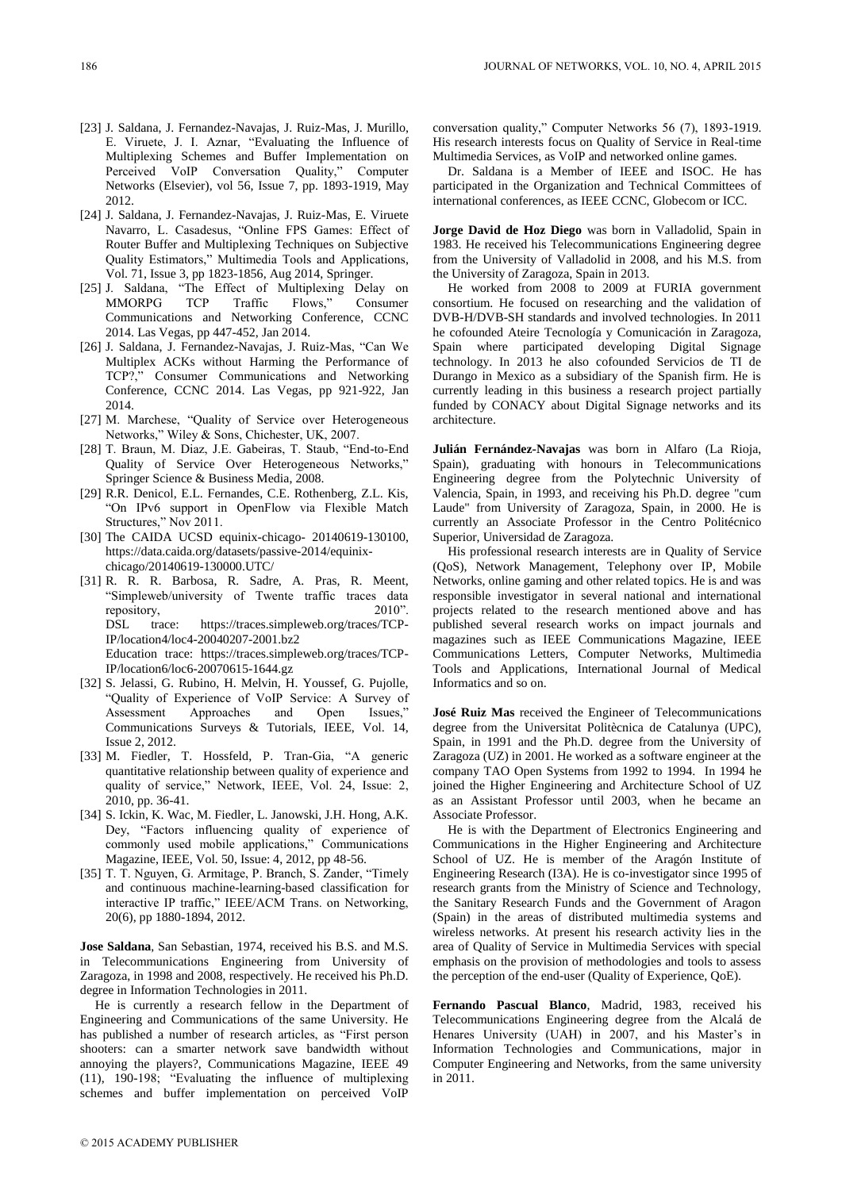- [23] J. Saldana, J. Fernandez-Navajas, J. Ruiz-Mas, J. Murillo, E. Viruete, J. I. Aznar, "Evaluating the Influence of Multiplexing Schemes and Buffer Implementation on Perceived VoIP Conversation Quality," Computer Networks (Elsevier), vol 56, Issue 7, pp. 1893-1919, May 2012.
- [24] J. Saldana, J. Fernandez-Navajas, J. Ruiz-Mas, E. Viruete Navarro, L. Casadesus, "Online FPS Games: Effect of Router Buffer and Multiplexing Techniques on Subjective Quality Estimators," Multimedia Tools and Applications, Vol. 71, Issue 3, pp 1823-1856, Aug 2014, Springer.
- [25] J. Saldana, "The Effect of Multiplexing Delay on MMORPG TCP Traffic Flows," Consumer Communications and Networking Conference, CCNC 2014. Las Vegas, pp 447-452, Jan 2014.
- [26] J. Saldana, J. Fernandez-Navajas, J. Ruiz-Mas, "Can We Multiplex ACKs without Harming the Performance of TCP?," Consumer Communications and Networking Conference, CCNC 2014. Las Vegas, pp 921-922, Jan 2014.
- [27] M. Marchese, "Quality of Service over Heterogeneous Networks," Wiley & Sons, Chichester, UK, 2007.
- [28] T. Braun, M. Diaz, J.E. Gabeiras, T. Staub, "End-to-End Quality of Service Over Heterogeneous Networks," Springer Science & Business Media, 2008.
- [29] R.R. Denicol, E.L. Fernandes, C.E. Rothenberg, Z.L. Kis, "On IPv6 support in OpenFlow via Flexible Match Structures," Nov 2011.
- [30] The CAIDA UCSD equinix-chicago- 20140619-130100, https://data.caida.org/datasets/passive-2014/equinixchicago/20140619-130000.UTC/
- [31] R. R. R. Barbosa, R. Sadre, A. Pras, R. Meent, "Simpleweb/university of Twente traffic traces data repository, DSL trace: https://traces.simpleweb.org/traces/TCP-IP/location4/loc4-20040207-2001.bz2 Education trace: https://traces.simpleweb.org/traces/TCP-IP/location6/loc6-20070615-1644.gz
- [32] S. Jelassi, G. Rubino, H. Melvin, H. Youssef, G. Pujolle, "Quality of Experience of VoIP Service: A Survey of Assessment Approaches and Open Issues," Communications Surveys & Tutorials, IEEE, Vol. 14, Issue 2, 2012.
- [33] M. Fiedler, T. Hossfeld, P. Tran-Gia, "A generic quantitative relationship between quality of experience and quality of service," Network, IEEE, Vol. 24, Issue: 2, 2010, pp. 36-41.
- [34] S. Ickin, K. Wac, M. Fiedler, L. Janowski, J.H. Hong, A.K. Dey, "Factors influencing quality of experience of commonly used mobile applications," Communications Magazine, IEEE, Vol. 50, Issue: 4, 2012, pp 48-56.
- [35] T. T. Nguyen, G. Armitage, P. Branch, S. Zander, "Timely and continuous machine-learning-based classification for interactive IP traffic," IEEE/ACM Trans. on Networking, 20(6), pp 1880-1894, 2012.

**Jose Saldana**, San Sebastian, 1974, received his B.S. and M.S. in Telecommunications Engineering from University of Zaragoza, in 1998 and 2008, respectively. He received his Ph.D. degree in Information Technologies in 2011.

He is currently a research fellow in the Department of Engineering and Communications of the same University. He has published a number of research articles, as "First person shooters: can a smarter network save bandwidth without annoying the players?, Communications Magazine, IEEE 49 (11), 190-198; "Evaluating the influence of multiplexing schemes and buffer implementation on perceived VoIP

conversation quality," Computer Networks 56 (7), 1893-1919. His research interests focus on Quality of Service in Real-time Multimedia Services, as VoIP and networked online games.

Dr. Saldana is a Member of IEEE and ISOC. He has participated in the Organization and Technical Committees of international conferences, as IEEE CCNC, Globecom or ICC.

**Jorge David de Hoz Diego** was born in Valladolid, Spain in 1983. He received his Telecommunications Engineering degree from the University of Valladolid in 2008, and his M.S. from the University of Zaragoza, Spain in 2013.

He worked from 2008 to 2009 at FURIA government consortium. He focused on researching and the validation of DVB-H/DVB-SH standards and involved technologies. In 2011 he cofounded Ateire Tecnología y Comunicación in Zaragoza, Spain where participated developing Digital Signage technology. In 2013 he also cofounded Servicios de TI de Durango in Mexico as a subsidiary of the Spanish firm. He is currently leading in this business a research project partially funded by CONACY about Digital Signage networks and its architecture.

**Julián Fernández-Navajas** was born in Alfaro (La Rioja, Spain), graduating with honours in Telecommunications Engineering degree from the Polytechnic University of Valencia, Spain, in 1993, and receiving his Ph.D. degree "cum Laude" from University of Zaragoza, Spain, in 2000. He is currently an Associate Professor in the Centro Politécnico Superior, Universidad de Zaragoza.

His professional research interests are in Quality of Service (QoS), Network Management, Telephony over IP, Mobile Networks, online gaming and other related topics. He is and was responsible investigator in several national and international projects related to the research mentioned above and has published several research works on impact journals and magazines such as IEEE Communications Magazine, IEEE Communications Letters, Computer Networks, Multimedia Tools and Applications, International Journal of Medical Informatics and so on.

**José Ruiz Mas** received the Engineer of Telecommunications degree from the Universitat Politècnica de Catalunya (UPC), Spain, in 1991 and the Ph.D. degree from the University of Zaragoza (UZ) in 2001. He worked as a software engineer at the company TAO Open Systems from 1992 to 1994. In 1994 he joined the Higher Engineering and Architecture School of UZ as an Assistant Professor until 2003, when he became an Associate Professor.

He is with the Department of Electronics Engineering and Communications in the Higher Engineering and Architecture School of UZ. He is member of the Aragón Institute of Engineering Research (I3A). He is co-investigator since 1995 of research grants from the Ministry of Science and Technology, the Sanitary Research Funds and the Government of Aragon (Spain) in the areas of distributed multimedia systems and wireless networks. At present his research activity lies in the area of Quality of Service in Multimedia Services with special emphasis on the provision of methodologies and tools to assess the perception of the end-user (Quality of Experience, QoE).

**Fernando Pascual Blanco**, Madrid, 1983, received his Telecommunications Engineering degree from the Alcalá de Henares University (UAH) in 2007, and his Master's in Information Technologies and Communications, major in Computer Engineering and Networks, from the same university in 2011.